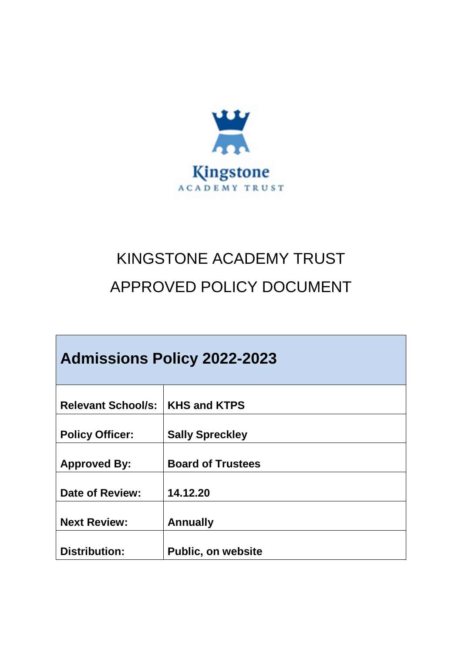

# KINGSTONE ACADEMY TRUST APPROVED POLICY DOCUMENT

| <b>Admissions Policy 2022-2023</b> |                           |
|------------------------------------|---------------------------|
| <b>Relevant School/s:</b>          | <b>KHS and KTPS</b>       |
| <b>Policy Officer:</b>             | <b>Sally Spreckley</b>    |
| <b>Approved By:</b>                | <b>Board of Trustees</b>  |
| <b>Date of Review:</b>             | 14.12.20                  |
| <b>Next Review:</b>                | <b>Annually</b>           |
| Distribution:                      | <b>Public, on website</b> |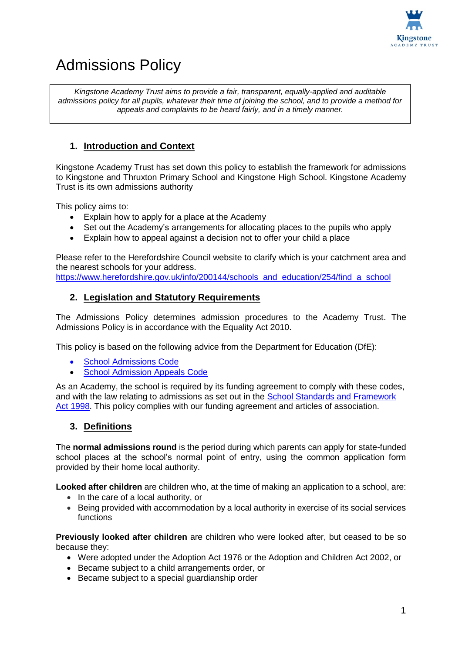

# Admissions Policy

*Kingstone Academy Trust aims to provide a fair, transparent, equally-applied and auditable admissions policy for all pupils, whatever their time of joining the school, and to provide a method for appeals and complaints to be heard fairly, and in a timely manner.*

# **1. Introduction and Context**

Kingstone Academy Trust has set down this policy to establish the framework for admissions to Kingstone and Thruxton Primary School and Kingstone High School. Kingstone Academy Trust is its own admissions authority

This policy aims to:

- Explain how to apply for a place at the Academy
- Set out the Academy's arrangements for allocating places to the pupils who apply
- Explain how to appeal against a decision not to offer your child a place

Please refer to the Herefordshire Council website to clarify which is your catchment area and the nearest schools for your address.

[https://www.herefordshire.gov.uk/info/200144/schools\\_and\\_education/254/find\\_a\\_school](https://www.herefordshire.gov.uk/info/200144/schools_and_education/254/find_a_school)

# **2. Legislation and Statutory Requirements**

The Admissions Policy determines admission procedures to the Academy Trust. The Admissions Policy is in accordance with the Equality Act 2010.

This policy is based on the following advice from the Department for Education (DfE):

- [School Admissions Code](https://www.gov.uk/government/publications/school-admissions-code--2)
- [School Admission Appeals Code](https://www.gov.uk/government/publications/school-admissions-appeals-code)

As an Academy, the school is required by its funding agreement to comply with these codes, and with the law relating to admissions as set out in the [School Standards and Framework](http://www.legislation.gov.uk/ukpga/1998/31/contents)  [Act 1998.](http://www.legislation.gov.uk/ukpga/1998/31/contents) This policy complies with our funding agreement and articles of association.

# **3. Definitions**

The **normal admissions round** is the period during which parents can apply for state-funded school places at the school's normal point of entry, using the common application form provided by their home local authority.

**Looked after children** are children who, at the time of making an application to a school, are:

- In the care of a local authority, or
- Being provided with accommodation by a local authority in exercise of its social services functions

**Previously looked after children** are children who were looked after, but ceased to be so because they:

- Were adopted under the Adoption Act 1976 or the Adoption and Children Act 2002, or
- Became subject to a child arrangements order, or
- Became subject to a special quardianship order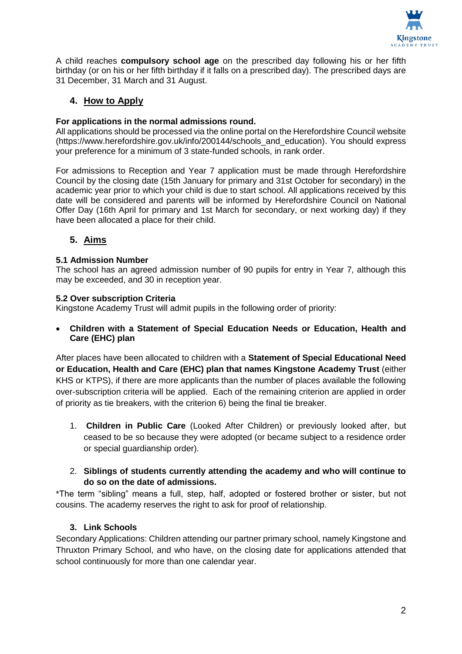

A child reaches **compulsory school age** on the prescribed day following his or her fifth birthday (or on his or her fifth birthday if it falls on a prescribed day). The prescribed days are 31 December, 31 March and 31 August.

# **4. How to Apply**

#### **For applications in the normal admissions round.**

All applications should be processed via the online portal on the Herefordshire Council website (https://www.herefordshire.gov.uk/info/200144/schools\_and\_education). You should express your preference for a minimum of 3 state-funded schools, in rank order.

For admissions to Reception and Year 7 application must be made through Herefordshire Council by the closing date (15th January for primary and 31st October for secondary) in the academic year prior to which your child is due to start school. All applications received by this date will be considered and parents will be informed by Herefordshire Council on National Offer Day (16th April for primary and 1st March for secondary, or next working day) if they have been allocated a place for their child.

# **5. Aims**

#### **5.1 Admission Number**

The school has an agreed admission number of 90 pupils for entry in Year 7, although this may be exceeded, and 30 in reception year.

#### **5.2 Over subscription Criteria**

Kingstone Academy Trust will admit pupils in the following order of priority:

 **Children with a Statement of Special Education Needs or Education, Health and Care (EHC) plan**

After places have been allocated to children with a **Statement of Special Educational Need or Education, Health and Care (EHC) plan that names Kingstone Academy Trust** (either KHS or KTPS), if there are more applicants than the number of places available the following over-subscription criteria will be applied. Each of the remaining criterion are applied in order of priority as tie breakers, with the criterion 6) being the final tie breaker.

1. **Children in Public Care** (Looked After Children) or previously looked after, but ceased to be so because they were adopted (or became subject to a residence order or special guardianship order).

#### 2. **Siblings of students currently attending the academy and who will continue to do so on the date of admissions.**

\*The term "sibling" means a full, step, half, adopted or fostered brother or sister, but not cousins. The academy reserves the right to ask for proof of relationship.

#### **3. Link Schools**

Secondary Applications: Children attending our partner primary school, namely Kingstone and Thruxton Primary School, and who have, on the closing date for applications attended that school continuously for more than one calendar year.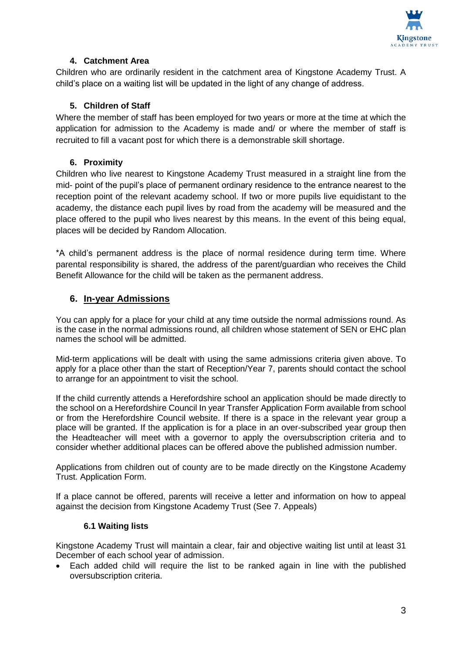

# **4. Catchment Area**

Children who are ordinarily resident in the catchment area of Kingstone Academy Trust. A child's place on a waiting list will be updated in the light of any change of address.

#### **5. Children of Staff**

Where the member of staff has been employed for two years or more at the time at which the application for admission to the Academy is made and/ or where the member of staff is recruited to fill a vacant post for which there is a demonstrable skill shortage.

#### **6. Proximity**

Children who live nearest to Kingstone Academy Trust measured in a straight line from the mid- point of the pupil's place of permanent ordinary residence to the entrance nearest to the reception point of the relevant academy school. If two or more pupils live equidistant to the academy, the distance each pupil lives by road from the academy will be measured and the place offered to the pupil who lives nearest by this means. In the event of this being equal, places will be decided by Random Allocation.

\*A child's permanent address is the place of normal residence during term time. Where parental responsibility is shared, the address of the parent/guardian who receives the Child Benefit Allowance for the child will be taken as the permanent address.

#### **6. In-year Admissions**

You can apply for a place for your child at any time outside the normal admissions round. As is the case in the normal admissions round, all children whose statement of SEN or EHC plan names the school will be admitted.

Mid-term applications will be dealt with using the same admissions criteria given above. To apply for a place other than the start of Reception/Year 7, parents should contact the school to arrange for an appointment to visit the school.

If the child currently attends a Herefordshire school an application should be made directly to the school on a Herefordshire Council In year Transfer Application Form available from school or from the Herefordshire Council website. If there is a space in the relevant year group a place will be granted. If the application is for a place in an over-subscribed year group then the Headteacher will meet with a governor to apply the oversubscription criteria and to consider whether additional places can be offered above the published admission number.

Applications from children out of county are to be made directly on the Kingstone Academy Trust. Application Form.

If a place cannot be offered, parents will receive a letter and information on how to appeal against the decision from Kingstone Academy Trust (See 7. Appeals)

#### **6.1 Waiting lists**

Kingstone Academy Trust will maintain a clear, fair and objective waiting list until at least 31 December of each school year of admission.

 Each added child will require the list to be ranked again in line with the published oversubscription criteria.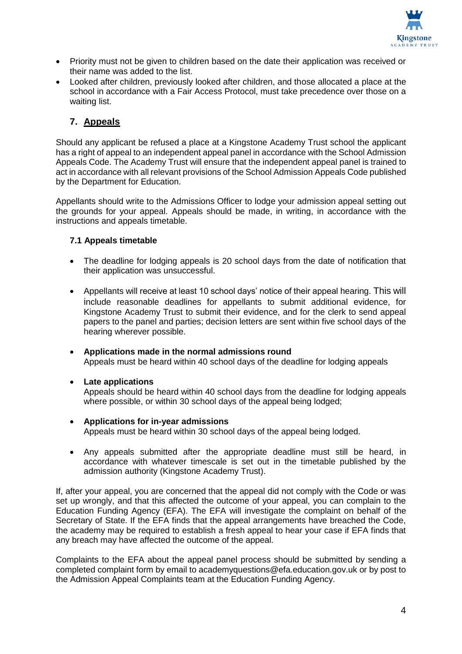

- Priority must not be given to children based on the date their application was received or their name was added to the list.
- Looked after children, previously looked after children, and those allocated a place at the school in accordance with a Fair Access Protocol, must take precedence over those on a waiting list.

# **7. Appeals**

Should any applicant be refused a place at a Kingstone Academy Trust school the applicant has a right of appeal to an independent appeal panel in accordance with the School Admission Appeals Code. The Academy Trust will ensure that the independent appeal panel is trained to act in accordance with all relevant provisions of the School Admission Appeals Code published by the Department for Education.

Appellants should write to the Admissions Officer to lodge your admission appeal setting out the grounds for your appeal. Appeals should be made, in writing, in accordance with the instructions and appeals timetable.

#### **7.1 Appeals timetable**

- The deadline for lodging appeals is 20 school days from the date of notification that their application was unsuccessful.
- Appellants will receive at least 10 school days' notice of their appeal hearing. This will include reasonable deadlines for appellants to submit additional evidence, for Kingstone Academy Trust to submit their evidence, and for the clerk to send appeal papers to the panel and parties; decision letters are sent within five school days of the hearing wherever possible.
- **Applications made in the normal admissions round**  Appeals must be heard within 40 school days of the deadline for lodging appeals

#### **Late applications**

Appeals should be heard within 40 school days from the deadline for lodging appeals where possible, or within 30 school days of the appeal being lodged;

- **Applications for in-year admissions** Appeals must be heard within 30 school days of the appeal being lodged.
- Any appeals submitted after the appropriate deadline must still be heard, in accordance with whatever timescale is set out in the timetable published by the admission authority (Kingstone Academy Trust).

If, after your appeal, you are concerned that the appeal did not comply with the Code or was set up wrongly, and that this affected the outcome of your appeal, you can complain to the Education Funding Agency (EFA). The EFA will investigate the complaint on behalf of the Secretary of State. If the EFA finds that the appeal arrangements have breached the Code, the academy may be required to establish a fresh appeal to hear your case if EFA finds that any breach may have affected the outcome of the appeal.

Complaints to the EFA about the appeal panel process should be submitted by sending a completed complaint form by email to academyquestions@efa.education.gov.uk or by post to the Admission Appeal Complaints team at the Education Funding Agency.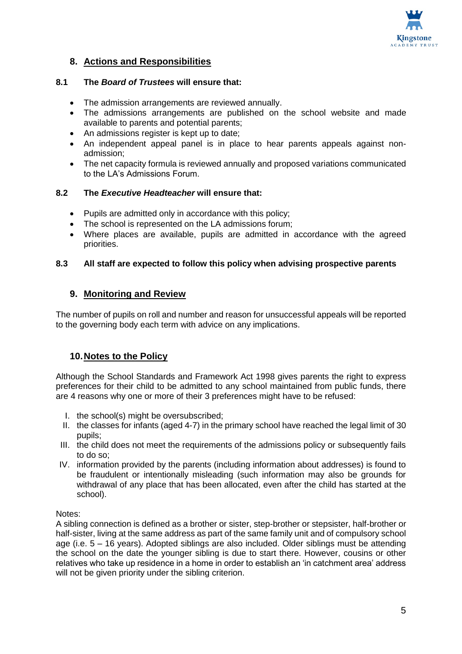

# **8. Actions and Responsibilities**

#### **8.1 The** *Board of Trustees* **will ensure that:**

- The admission arrangements are reviewed annually.
- The admissions arrangements are published on the school website and made available to parents and potential parents;
- An admissions register is kept up to date;
- An independent appeal panel is in place to hear parents appeals against nonadmission;
- The net capacity formula is reviewed annually and proposed variations communicated to the LA's Admissions Forum.

#### **8.2 The** *Executive Headteacher* **will ensure that:**

- Pupils are admitted only in accordance with this policy;
- The school is represented on the LA admissions forum;
- Where places are available, pupils are admitted in accordance with the agreed priorities.

#### **8.3 All staff are expected to follow this policy when advising prospective parents**

#### **9. Monitoring and Review**

The number of pupils on roll and number and reason for unsuccessful appeals will be reported to the governing body each term with advice on any implications.

#### **10.Notes to the Policy**

Although the School Standards and Framework Act 1998 gives parents the right to express preferences for their child to be admitted to any school maintained from public funds, there are 4 reasons why one or more of their 3 preferences might have to be refused:

- I. the school(s) might be oversubscribed;
- II. the classes for infants (aged 4-7) in the primary school have reached the legal limit of 30 pupils;
- III. the child does not meet the requirements of the admissions policy or subsequently fails to do so;
- IV. information provided by the parents (including information about addresses) is found to be fraudulent or intentionally misleading (such information may also be grounds for withdrawal of any place that has been allocated, even after the child has started at the school).

Notes:

A sibling connection is defined as a brother or sister, step-brother or stepsister, half-brother or half-sister, living at the same address as part of the same family unit and of compulsory school age (i.e. 5 – 16 years). Adopted siblings are also included. Older siblings must be attending the school on the date the younger sibling is due to start there. However, cousins or other relatives who take up residence in a home in order to establish an 'in catchment area' address will not be given priority under the sibling criterion.